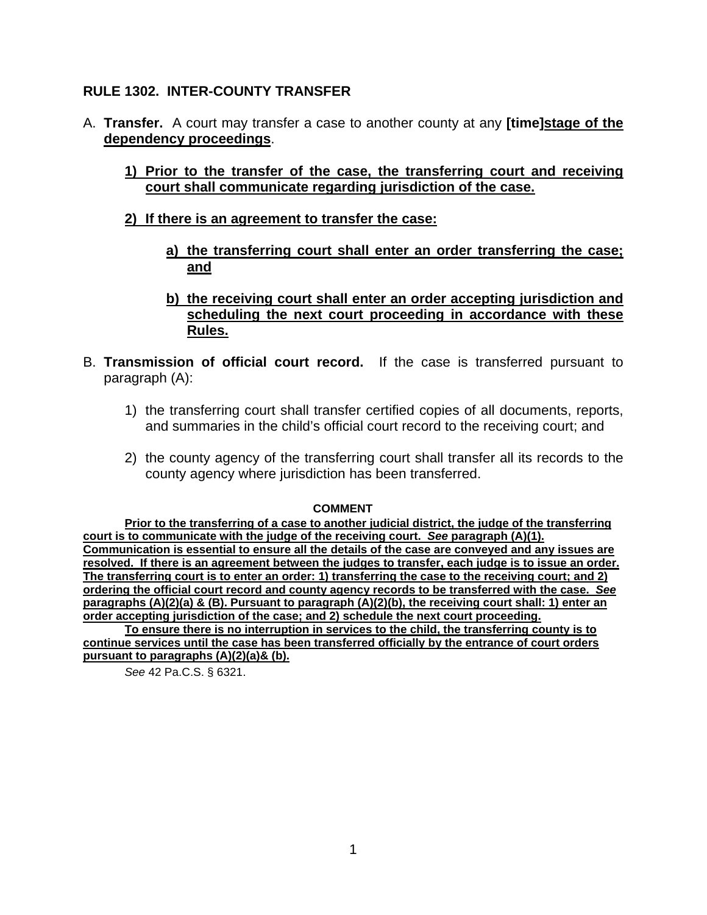## **RULE 1302. INTER-COUNTY TRANSFER**

- A. **Transfer.** A court may transfer a case to another county at any **[time]stage of the dependency proceedings**.
	- **1) Prior to the transfer of the case, the transferring court and receiving court shall communicate regarding jurisdiction of the case.**
	- **2) If there is an agreement to transfer the case:**
		- **a) the transferring court shall enter an order transferring the case; and**
		- **b) the receiving court shall enter an order accepting jurisdiction and scheduling the next court proceeding in accordance with these Rules.**
- B. **Transmission of official court record.** If the case is transferred pursuant to paragraph (A):
	- 1) the transferring court shall transfer certified copies of all documents, reports, and summaries in the child's official court record to the receiving court; and
	- 2) the county agency of the transferring court shall transfer all its records to the county agency where jurisdiction has been transferred.

#### **COMMENT**

**Prior to the transferring of a case to another judicial district, the judge of the transferring court is to communicate with the judge of the receiving court.** *See* **paragraph (A)(1). Communication is essential to ensure all the details of the case are conveyed and any issues are resolved. If there is an agreement between the judges to transfer, each judge is to issue an order. The transferring court is to enter an order: 1) transferring the case to the receiving court; and 2) ordering the official court record and county agency records to be transferred with the case.** *See*  **paragraphs (A)(2)(a) & (B). Pursuant to paragraph (A)(2)(b), the receiving court shall: 1) enter an order accepting jurisdiction of the case; and 2) schedule the next court proceeding.** 

**To ensure there is no interruption in services to the child, the transferring county is to continue services until the case has been transferred officially by the entrance of court orders pursuant to paragraphs (A)(2)(a)& (b).** 

*See* 42 Pa.C.S. § 6321.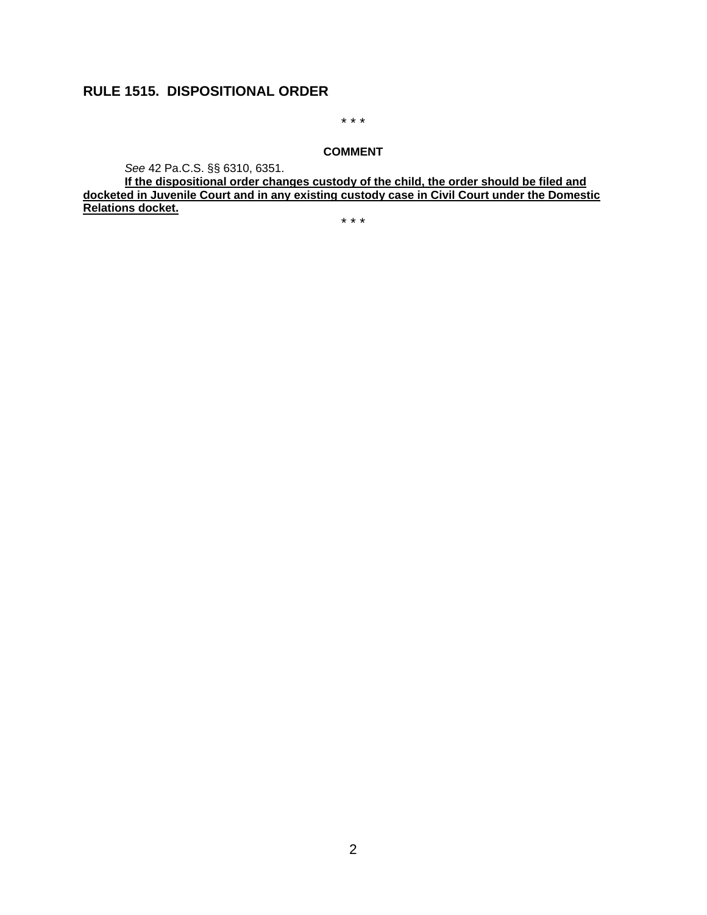# **RULE 1515. DISPOSITIONAL ORDER**

\* \* \*

#### **COMMENT**

*See* 42 Pa.C.S. §§ 6310, 6351.

**If the dispositional order changes custody of the child, the order should be filed and docketed in Juvenile Court and in any existing custody case in Civil Court under the Domestic Relations docket.**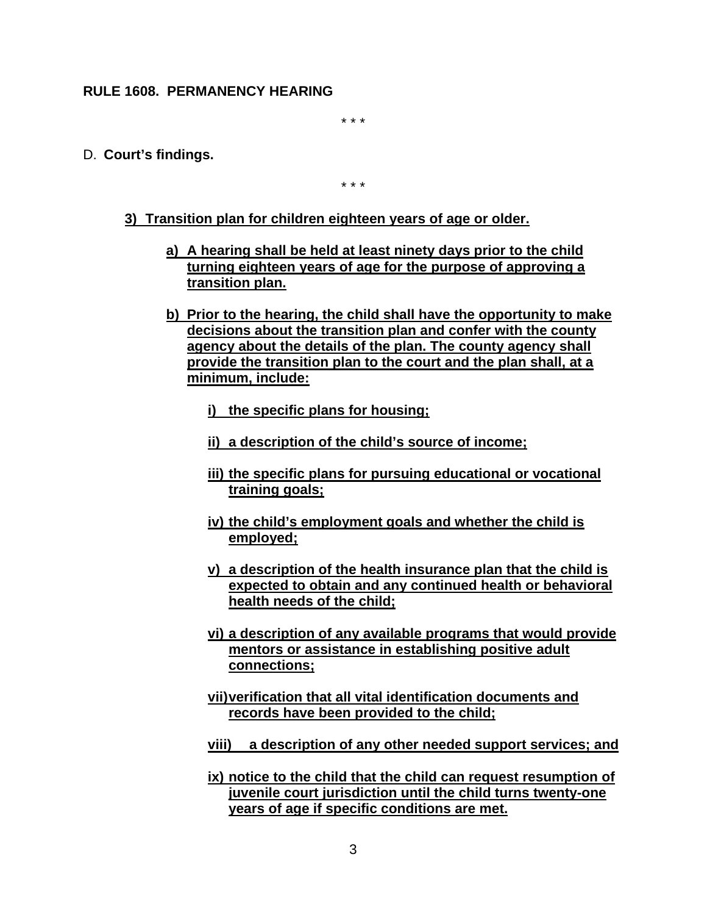#### **RULE 1608. PERMANENCY HEARING**

\* \* \*

D. **Court's findings.** 

- **3) Transition plan for children eighteen years of age or older.**
	- **a) A hearing shall be held at least ninety days prior to the child turning eighteen years of age for the purpose of approving a transition plan.**
	- **b) Prior to the hearing, the child shall have the opportunity to make decisions about the transition plan and confer with the county agency about the details of the plan. The county agency shall provide the transition plan to the court and the plan shall, at a minimum, include:**
		- **i) the specific plans for housing;**
		- **ii) a description of the child's source of income;**
		- **iii) the specific plans for pursuing educational or vocational training goals;**
		- **iv) the child's employment goals and whether the child is employed;**
		- **v) a description of the health insurance plan that the child is expected to obtain and any continued health or behavioral health needs of the child;**
		- **vi) a description of any available programs that would provide mentors or assistance in establishing positive adult connections;**
		- **vii)verification that all vital identification documents and records have been provided to the child;**
		- **viii) a description of any other needed support services; and**
		- **ix) notice to the child that the child can request resumption of juvenile court jurisdiction until the child turns twenty-one years of age if specific conditions are met.**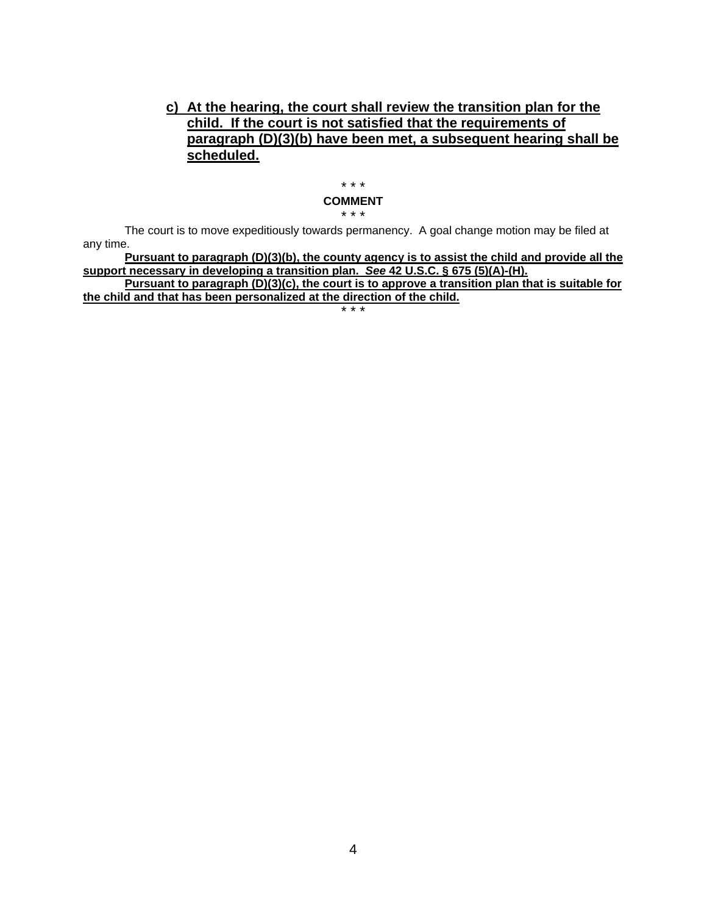## **c) At the hearing, the court shall review the transition plan for the child. If the court is not satisfied that the requirements of paragraph (D)(3)(b) have been met, a subsequent hearing shall be scheduled.**

## \* \* \*

#### **COMMENT** \* \* \*

The court is to move expeditiously towards permanency. A goal change motion may be filed at any time.

**Pursuant to paragraph (D)(3)(b), the county agency is to assist the child and provide all the support necessary in developing a transition plan.** *See* **42 U.S.C. § 675 (5)(A)-(H).**

**Pursuant to paragraph (D)(3)(c), the court is to approve a transition plan that is suitable for the child and that has been personalized at the direction of the child.**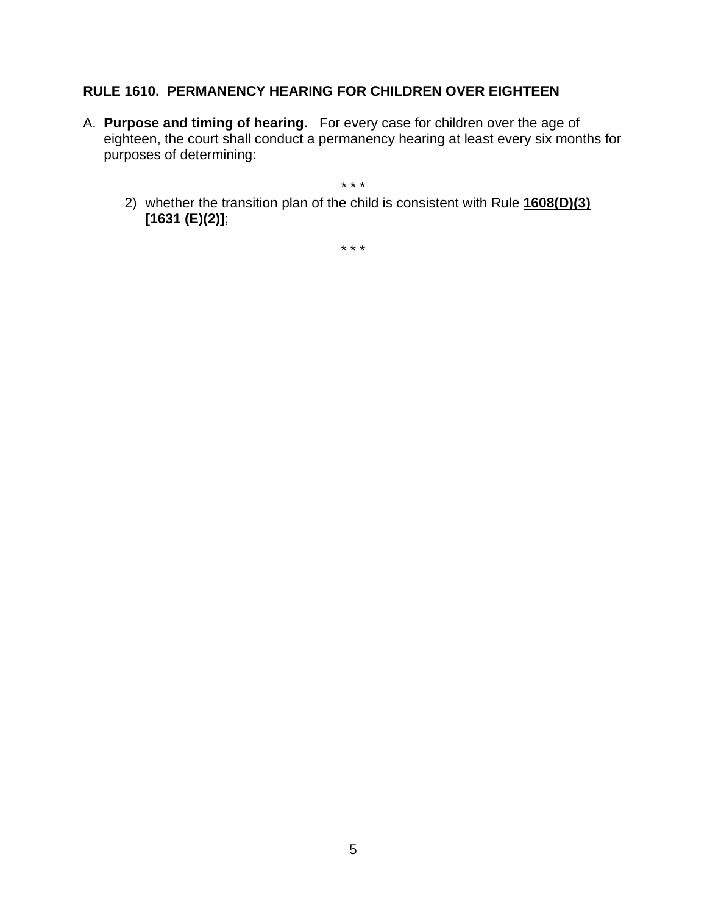# **RULE 1610. PERMANENCY HEARING FOR CHILDREN OVER EIGHTEEN**

A. **Purpose and timing of hearing.** For every case for children over the age of eighteen, the court shall conduct a permanency hearing at least every six months for purposes of determining:

\* \* \*

2) whether the transition plan of the child is consistent with Rule **1608(D)(3) [1631 (E)(2)]**;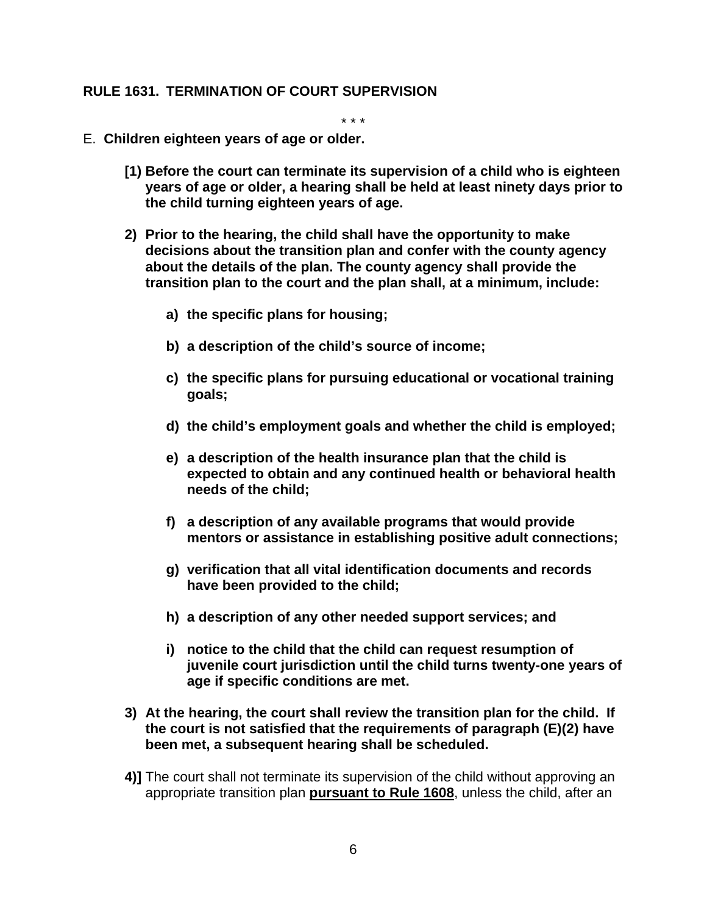## **RULE 1631. TERMINATION OF COURT SUPERVISION**

- E. **Children eighteen years of age or older.**
	- **[1) Before the court can terminate its supervision of a child who is eighteen years of age or older, a hearing shall be held at least ninety days prior to the child turning eighteen years of age.**
	- **2) Prior to the hearing, the child shall have the opportunity to make decisions about the transition plan and confer with the county agency about the details of the plan. The county agency shall provide the transition plan to the court and the plan shall, at a minimum, include:**
		- **a) the specific plans for housing;**
		- **b) a description of the child's source of income;**
		- **c) the specific plans for pursuing educational or vocational training goals;**
		- **d) the child's employment goals and whether the child is employed;**
		- **e) a description of the health insurance plan that the child is expected to obtain and any continued health or behavioral health needs of the child;**
		- **f) a description of any available programs that would provide mentors or assistance in establishing positive adult connections;**
		- **g) verification that all vital identification documents and records have been provided to the child;**
		- **h) a description of any other needed support services; and**
		- **i) notice to the child that the child can request resumption of juvenile court jurisdiction until the child turns twenty-one years of age if specific conditions are met.**
	- **3) At the hearing, the court shall review the transition plan for the child. If the court is not satisfied that the requirements of paragraph (E)(2) have been met, a subsequent hearing shall be scheduled.**
	- **4)]** The court shall not terminate its supervision of the child without approving an appropriate transition plan **pursuant to Rule 1608**, unless the child, after an